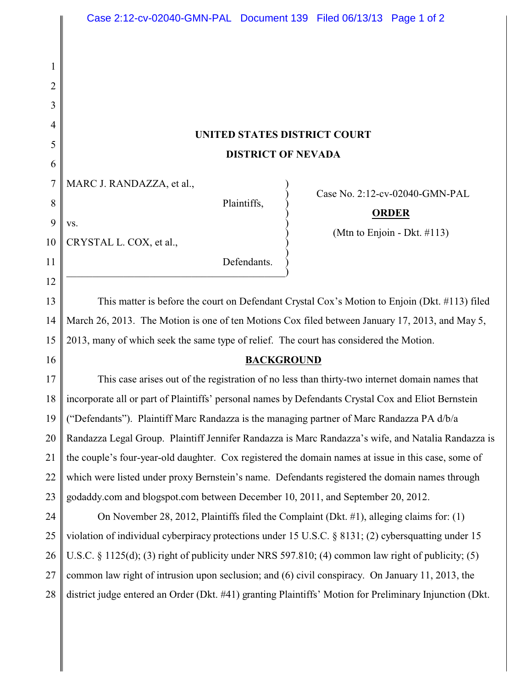| UNITED STATES DISTRICT COURT |  |
|------------------------------|--|
| <b>DISTRICT OF NEVADA</b>    |  |

|  | 7   MARC J. RANDAZZA, et al., |  |
|--|-------------------------------|--|
|--|-------------------------------|--|

 $\mathbf{v}\mathbf{s}$ .

Plaintiffs, )

) Case No. 2:12-cv-02040-GMN-PAL

## ) **ORDER**

) (Mtn to Enjoin - Dkt. #113)

10 CRYSTAL L. COX, et al., )

1

2

3

4

5

6

8

9

11

12

16

Defendants.  $\hspace{.5cm}$   $\hspace{.5cm}$   $\hspace{.5cm}$   $\hspace{.5cm}$   $\hspace{.5cm}$   $\hspace{.5cm}$   $\hspace{.5cm}$   $\hspace{.5cm}$   $\hspace{.5cm}$   $\hspace{.5cm}$   $\hspace{.5cm}$   $\hspace{.5cm}$   $\hspace{.5cm}$   $\hspace{.5cm}$   $\hspace{.5cm}$   $\hspace{.5cm}$   $\hspace{.5cm}$   $\hspace{.5cm}$   $\hspace{.5cm}$   $\hspace{.5cm}$ 

13 14 15 This matter is before the court on Defendant Crystal Cox's Motion to Enjoin (Dkt. #113) filed March 26, 2013. The Motion is one of ten Motions Cox filed between January 17, 2013, and May 5, 2013, many of which seek the same type of relief. The court has considered the Motion.

## **BACKGROUND**

 $\big)$ 

17 18 19 20 21 22 23 This case arises out of the registration of no less than thirty-two internet domain names that incorporate all or part of Plaintiffs' personal names by Defendants Crystal Cox and Eliot Bernstein ("Defendants"). Plaintiff Marc Randazza is the managing partner of Marc Randazza PA d/b/a Randazza Legal Group. Plaintiff Jennifer Randazza is Marc Randazza's wife, and Natalia Randazza is the couple's four-year-old daughter. Cox registered the domain names at issue in this case, some of which were listed under proxy Bernstein's name. Defendants registered the domain names through godaddy.com and blogspot.com between December 10, 2011, and September 20, 2012.

24 25 26 27 28 On November 28, 2012, Plaintiffs filed the Complaint (Dkt. #1), alleging claims for: (1) violation of individual cyberpiracy protections under 15 U.S.C. § 8131; (2) cybersquatting under 15 U.S.C. § 1125(d); (3) right of publicity under NRS 597.810; (4) common law right of publicity; (5) common law right of intrusion upon seclusion; and (6) civil conspiracy. On January 11, 2013, the district judge entered an Order (Dkt. #41) granting Plaintiffs' Motion for Preliminary Injunction (Dkt.